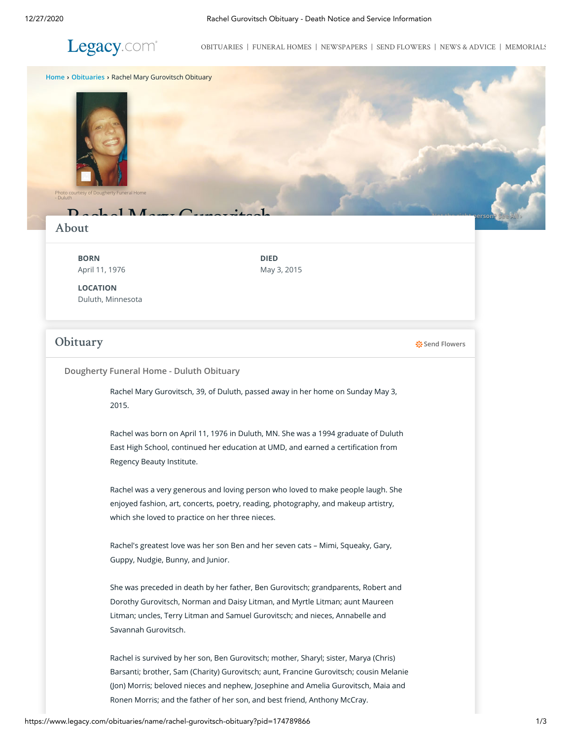## 12/27/2020 Rachel Gurovitsch Obituary - Death Notice and Service Information

Legacy.com

[OBITUARIES](https://www.legacy.com/obituaries/local) | [FUNERAL HOMES](https://www.legacy.com/funeral-homes/) | [NEWSPAPERS](https://www.legacy.com/search-obituaries-in-local-newspapers/) | [SEND FLOWERS](https://sympathy.legacy.com/funeral-flowers/p174789866/) | [NEWS & ADVICE](http://www.legacy.com/category/news/celebrity-deaths/) | [MEMORIALS](http://www.legacy.com/ns/memorial-sites/)



**BORN** April 11, 1976 **DIED** May 3, 2015

**LOCATION** Duluth, Minnesota

## **Obituary [Send Flowers](https://sympathy.legacy.com/en-us/funeral-flowers/gallery/?affiliateid=2837&type=obituary&p=174789875&pn=rachel-gurovitsch-funeral&v=01&rs=03&pm=204) Send Flowers**

**Dougherty Funeral Home - Duluth Obituary**

Rachel Mary Gurovitsch, 39, of Duluth, passed away in her home on Sunday May 3, 2015.

Rachel was born on April 11, 1976 in Duluth, MN. She was a 1994 graduate of Duluth East High School, continued her education at UMD, and earned a certification from Regency Beauty Institute.

Rachel was a very generous and loving person who loved to make people laugh. She enjoyed fashion, art, concerts, poetry, reading, photography, and makeup artistry, which she loved to practice on her three nieces.

Rachel's greatest love was her son Ben and her seven cats – Mimi, Squeaky, Gary, Guppy, Nudgie, Bunny, and Junior.

She was preceded in death by her father, Ben Gurovitsch; grandparents, Robert and Dorothy Gurovitsch, Norman and Daisy Litman, and Myrtle Litman; aunt Maureen Litman; uncles, Terry Litman and Samuel Gurovitsch; and nieces, Annabelle and Savannah Gurovitsch.

Rachel is survived by her son, Ben Gurovitsch; mother, Sharyl; sister, Marya (Chris) Barsanti; brother, Sam (Charity) Gurovitsch; aunt, Francine Gurovitsch; cousin Melanie (Jon) Morris; beloved nieces and nephew, Josephine and Amelia Gurovitsch, Maia and Ronen Morris; and the father of her son, and best friend, Anthony McCray.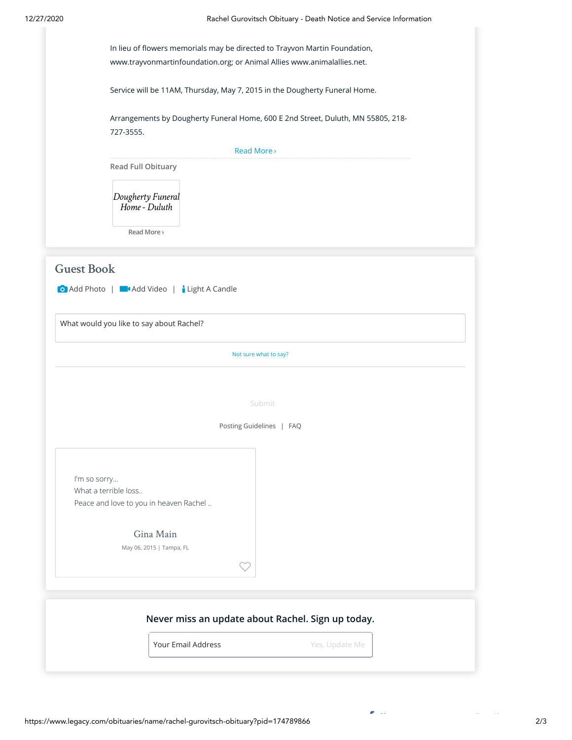|                                                                                                                    | In lieu of flowers memorials may be directed to Trayvon Martin Foundation,<br>www.trayvonmartinfoundation.org; or Animal Allies www.animalallies.net. |                |  |  |  |
|--------------------------------------------------------------------------------------------------------------------|-------------------------------------------------------------------------------------------------------------------------------------------------------|----------------|--|--|--|
|                                                                                                                    | Service will be 11AM, Thursday, May 7, 2015 in the Dougherty Funeral Home.                                                                            |                |  |  |  |
| 727-3555.                                                                                                          | Arrangements by Dougherty Funeral Home, 600 E 2nd Street, Duluth, MN 55805, 218-                                                                      |                |  |  |  |
|                                                                                                                    | Read More >                                                                                                                                           |                |  |  |  |
| Read Full Obituary<br>Dougherty Funeral<br>Home - Duluth<br>Read More >                                            |                                                                                                                                                       |                |  |  |  |
| <b>Guest Book</b><br><b>O</b> Add Photo   ■ Add Video   Light A Candle<br>What would you like to say about Rachel? |                                                                                                                                                       |                |  |  |  |
|                                                                                                                    | Not sure what to say?                                                                                                                                 |                |  |  |  |
|                                                                                                                    | Submit                                                                                                                                                |                |  |  |  |
|                                                                                                                    | Posting Guidelines   FAQ                                                                                                                              |                |  |  |  |
| I'm so sorry<br>What a terrible loss<br>Peace and love to you in heaven Rachel                                     |                                                                                                                                                       |                |  |  |  |
|                                                                                                                    | Gina Main<br>May 06, 2015   Tampa, FL                                                                                                                 |                |  |  |  |
|                                                                                                                    | Never miss an update about Rachel. Sign up today.                                                                                                     |                |  |  |  |
|                                                                                                                    | Your Email Address                                                                                                                                    | Yes, Update Me |  |  |  |

Sh E iliyofan E iliyofan E iliyofan E iliyofan E iliyofan E iliyofan E iliyofan E iliyofan E iliyofan E iliyof<br>Shahara ta 1980-yil asosiy katalog asosiy katalog asosiy katalog asosiy katalog asosiy katalog asosiy katalog

×